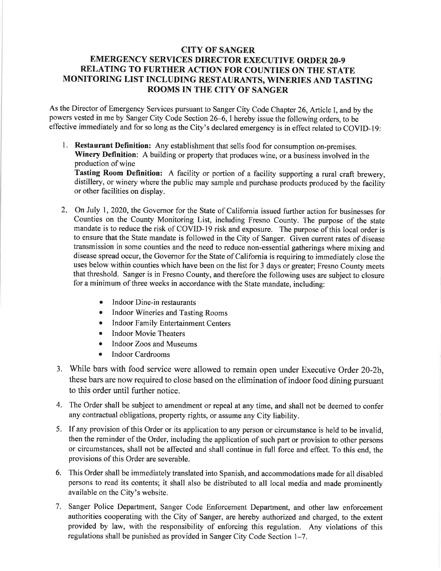## CITY OF SANGER EMERGENCY SERVICES DIRECTOR EXECUTIVE ORDER 20.9 RELATING TO FURTHER ACTION FOR COUNTIES ON THE STATE MONITORING LIST INCLUDING RESTAURANTS, WINERIES AND TASTING ROOMS IN THE CITY OF SANGER

As the Director of Emergency Services pursuant to Sanger City Code Chapter 26, Article I, and by the powers vested in me by Sanger City Code Section 26–6, I hereby issue the following orders, to be effective immediately and for so long as the City's declared emergency is in effect related to COVID-19:

1. Restaurant Definition: Any establishment that sells food for consumption on-premises. Winery Definition: A building or property that produces wine, or a business involved in the production of wine

Tasting Room Definition: A facility or portion of a facility supporting a rural craft brewery, distillery, or winery where the public may sample and purchase products produced by the facility or other facilities on display.

- On July 1,2020, the Governor for the State of California issued further action for businesses for 2Counties on the County Monitoring List, including Fresno County. The purpose of the state mandate is to reduce the risk of COVID-19 risk and exposure. The purpose of this local order is to ensure that the State mandate is followed in the City of Sanger. Given current rates of disease transmission in some counties and the need to reduce non-essential gatherings where mixing and disease spread occur, the Governor for the State of California is requiring to immediately close the uses below within counties which have been on the list for 3 days or greater; Fresno County meets that threshold. Sanger is in Fresno County, and therefore the following uses are subject to closure for a minimum of three weeks in accordance with the State mandate, including:
	- $\bullet$  Indoor Dine-in restaurants
	- r Indoor Wineries and Tasting Rooms
	- Indoor Family Entertainment Centers
	- Indoor Movie Theaters
	- Indoor Zoos and Museums
	- Indoor Cardrooms
- 3. While bars with food service were allowed to remain open under Executive Order 20-2b, these bars are now required to close based on the elimination of indoor food dining pursuant to this order until further notice.
- 4. The Order shall be subject to amendment or repeal at any time, and shall not be deemed to confer any contractual obligations, property rights, or assume any City liability.
- 5. If any provision of this Order or its application to any person or circumstance is held to be invalid, then the reminder of the Order, including the application of such part or provision to other persons or circumstances, shall not be affected and shall continue in full force and effect. To this end, the provisions of this Order are severable.
- 6. This Order shall be immediately translated into Spanish, and accommodations made for all disabled persons to read its contents; it shall also be distributed to all local media and made prominently available on the City's website.
- 7. Sanger Police Department, Sanger Code Enforcement Department, and other law enforcement authorities cooperating with the City of Sanger, are hereby authorized and charged, to the extent provided by law, with the responsibility of enforcing this regulation. Any violations of this regulations shall be punished as provided in Sanger City Code Section 1-7.